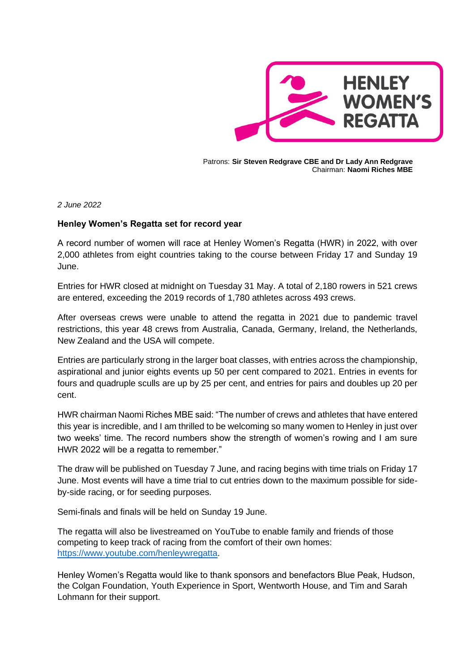

Patrons: **Sir Steven Redgrave CBE and Dr Lady Ann Redgrave** Chairman: **Naomi Riches MBE**

*2 June 2022*

## **Henley Women's Regatta set for record year**

A record number of women will race at Henley Women's Regatta (HWR) in 2022, with over 2,000 athletes from eight countries taking to the course between Friday 17 and Sunday 19 June.

Entries for HWR closed at midnight on Tuesday 31 May. A total of 2,180 rowers in 521 crews are entered, exceeding the 2019 records of 1,780 athletes across 493 crews.

After overseas crews were unable to attend the regatta in 2021 due to pandemic travel restrictions, this year 48 crews from Australia, Canada, Germany, Ireland, the Netherlands, New Zealand and the USA will compete.

Entries are particularly strong in the larger boat classes, with entries across the championship, aspirational and junior eights events up 50 per cent compared to 2021. Entries in events for fours and quadruple sculls are up by 25 per cent, and entries for pairs and doubles up 20 per cent.

HWR chairman Naomi Riches MBE said: "The number of crews and athletes that have entered this year is incredible, and I am thrilled to be welcoming so many women to Henley in just over two weeks' time. The record numbers show the strength of women's rowing and I am sure HWR 2022 will be a regatta to remember."

The draw will be published on Tuesday 7 June, and racing begins with time trials on Friday 17 June. Most events will have a time trial to cut entries down to the maximum possible for sideby-side racing, or for seeding purposes.

Semi-finals and finals will be held on Sunday 19 June.

The regatta will also be livestreamed on YouTube to enable family and friends of those competing to keep track of racing from the comfort of their own homes: [https://www.youtube.com/henleywregatta.](https://www.youtube.com/henleywregatta)

Henley Women's Regatta would like to thank sponsors and benefactors Blue Peak, Hudson, the Colgan Foundation, Youth Experience in Sport, Wentworth House, and Tim and Sarah Lohmann for their support.